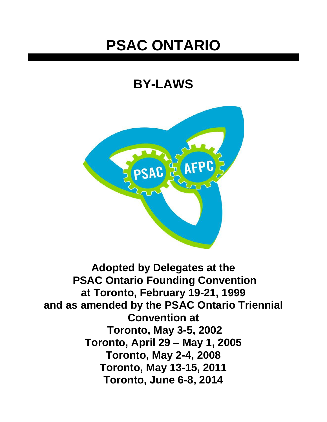# **PSAC ONTARIO**

## **BY-LAWS**



**Adopted by Delegates at the PSAC Ontario Founding Convention at Toronto, February 19-21, 1999 and as amended by the PSAC Ontario Triennial Convention at Toronto, May 3-5, 2002 Toronto, April 29 – May 1, 2005 Toronto, May 2-4, 2008 Toronto, May 13-15, 2011 Toronto, June 6-8, 2014**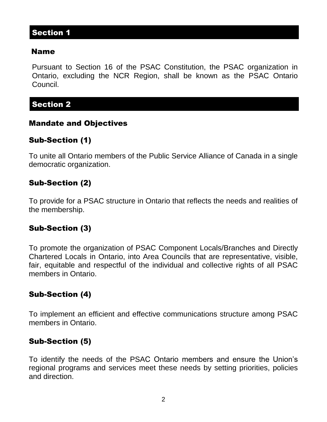#### Name

Pursuant to Section 16 of the PSAC Constitution, the PSAC organization in Ontario, excluding the NCR Region, shall be known as the PSAC Ontario Council.

## Section 2

#### Mandate and Objectives

## Sub-Section (1)

To unite all Ontario members of the Public Service Alliance of Canada in a single democratic organization.

## Sub-Section (2)

To provide for a PSAC structure in Ontario that reflects the needs and realities of the membership.

#### Sub-Section (3)

To promote the organization of PSAC Component Locals/Branches and Directly Chartered Locals in Ontario, into Area Councils that are representative, visible, fair, equitable and respectful of the individual and collective rights of all PSAC members in Ontario.

#### Sub-Section (4)

To implement an efficient and effective communications structure among PSAC members in Ontario.

#### Sub-Section (5)

To identify the needs of the PSAC Ontario members and ensure the Union's regional programs and services meet these needs by setting priorities, policies and direction.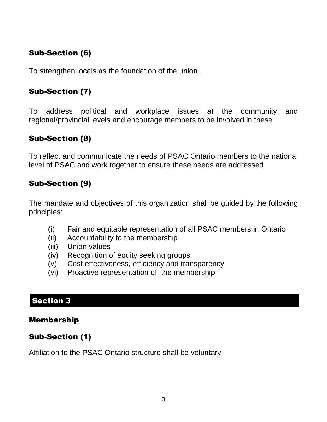## Sub-Section (6)

To strengthen locals as the foundation of the union.

## Sub-Section (7)

To address political and workplace issues at the community and regional/provincial levels and encourage members to be involved in these.

## Sub-Section (8)

To reflect and communicate the needs of PSAC Ontario members to the national level of PSAC and work together to ensure these needs are addressed.

## Sub-Section (9)

The mandate and objectives of this organization shall be guided by the following principles:

- (i) Fair and equitable representation of all PSAC members in Ontario
- (ii) Accountability to the membership
- (iii) Union values
- (iv) Recognition of equity seeking groups
- (v) Cost effectiveness, efficiency and transparency
- (vi) Proactive representation of the membership

## Section 3

#### Membership

## Sub-Section (1)

Affiliation to the PSAC Ontario structure shall be voluntary.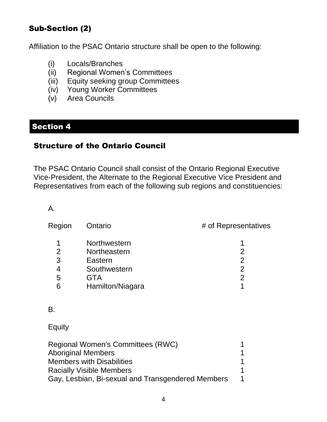## Sub-Section (2)

Affiliation to the PSAC Ontario structure shall be open to the following:

- (i) Locals/Branches
- (ii) Regional Women's Committees
- (iii) Equity seeking group Committees
- (iv) Young Worker Committees
- (v) Area Councils

## Section 4

#### Structure of the Ontario Council

The PSAC Ontario Council shall consist of the Ontario Regional Executive Vice-President, the Alternate to the Regional Executive Vice President and Representatives from each of the following sub regions and constituencies:

#### A.

| Region | Ontario          | # of Representatives |
|--------|------------------|----------------------|
| 1      | Northwestern     |                      |
| 2      | Northeastern     | 2                    |
| 3      | Eastern          | 2                    |
| 4      | Southwestern     | 2                    |
| 5      | <b>GTA</b>       | 2                    |
| 6      | Hamilton/Niagara |                      |
| Β.     |                  |                      |

Equity

| Regional Women's Committees (RWC)                 | 1 |
|---------------------------------------------------|---|
| <b>Aboriginal Members</b>                         | 1 |
| <b>Members with Disabilities</b>                  |   |
| <b>Racially Visible Members</b>                   |   |
| Gay, Lesbian, Bi-sexual and Transgendered Members | 1 |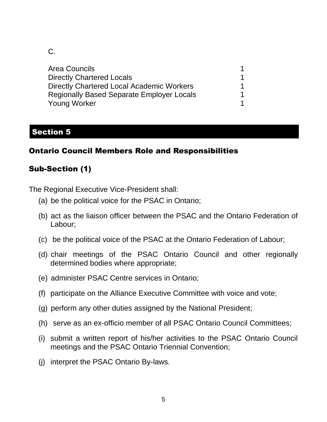C.

| <b>Area Councils</b>                             |  |
|--------------------------------------------------|--|
| <b>Directly Chartered Locals</b>                 |  |
| Directly Chartered Local Academic Workers        |  |
| <b>Regionally Based Separate Employer Locals</b> |  |
| <b>Young Worker</b>                              |  |

## Section 5

## Ontario Council Members Role and Responsibilities

## Sub-Section (1)

The Regional Executive Vice-President shall:

- (a) be the political voice for the PSAC in Ontario;
- (b) act as the liaison officer between the PSAC and the Ontario Federation of Labour;
- (c) be the political voice of the PSAC at the Ontario Federation of Labour;
- (d) chair meetings of the PSAC Ontario Council and other regionally determined bodies where appropriate;
- (e) administer PSAC Centre services in Ontario;
- (f) participate on the Alliance Executive Committee with voice and vote;
- (g) perform any other duties assigned by the National President;
- (h) serve as an ex-officio member of all PSAC Ontario Council Committees;
- (i) submit a written report of his/her activities to the PSAC Ontario Council meetings and the PSAC Ontario Triennial Convention;
- (j) interpret the PSAC Ontario By-laws.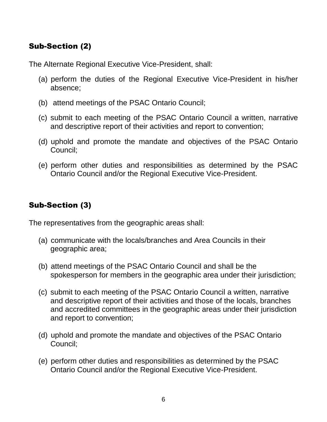## Sub-Section (2)

The Alternate Regional Executive Vice-President, shall:

- (a) perform the duties of the Regional Executive Vice-President in his/her absence;
- (b) attend meetings of the PSAC Ontario Council;
- (c) submit to each meeting of the PSAC Ontario Council a written, narrative and descriptive report of their activities and report to convention;
- (d) uphold and promote the mandate and objectives of the PSAC Ontario Council;
- (e) perform other duties and responsibilities as determined by the PSAC Ontario Council and/or the Regional Executive Vice-President.

## Sub-Section (3)

The representatives from the geographic areas shall:

- (a) communicate with the locals/branches and Area Councils in their geographic area;
- (b) attend meetings of the PSAC Ontario Council and shall be the spokesperson for members in the geographic area under their jurisdiction;
- (c) submit to each meeting of the PSAC Ontario Council a written, narrative and descriptive report of their activities and those of the locals, branches and accredited committees in the geographic areas under their jurisdiction and report to convention;
- (d) uphold and promote the mandate and objectives of the PSAC Ontario Council;
- (e) perform other duties and responsibilities as determined by the PSAC Ontario Council and/or the Regional Executive Vice-President.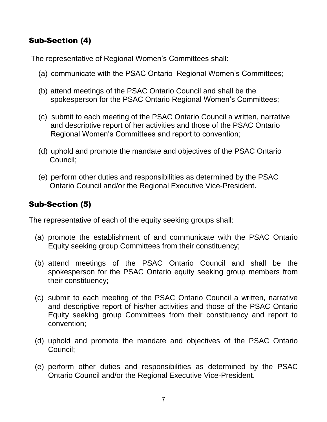## Sub-Section (4)

The representative of Regional Women's Committees shall:

- (a) communicate with the PSAC Ontario Regional Women's Committees;
- (b) attend meetings of the PSAC Ontario Council and shall be the spokesperson for the PSAC Ontario Regional Women's Committees;
- (c) submit to each meeting of the PSAC Ontario Council a written, narrative and descriptive report of her activities and those of the PSAC Ontario Regional Women's Committees and report to convention;
- (d) uphold and promote the mandate and objectives of the PSAC Ontario Council;
- (e) perform other duties and responsibilities as determined by the PSAC Ontario Council and/or the Regional Executive Vice-President.

## Sub-Section (5)

The representative of each of the equity seeking groups shall:

- (a) promote the establishment of and communicate with the PSAC Ontario Equity seeking group Committees from their constituency;
- (b) attend meetings of the PSAC Ontario Council and shall be the spokesperson for the PSAC Ontario equity seeking group members from their constituency;
- (c) submit to each meeting of the PSAC Ontario Council a written, narrative and descriptive report of his/her activities and those of the PSAC Ontario Equity seeking group Committees from their constituency and report to convention;
- (d) uphold and promote the mandate and objectives of the PSAC Ontario Council;
- (e) perform other duties and responsibilities as determined by the PSAC Ontario Council and/or the Regional Executive Vice-President.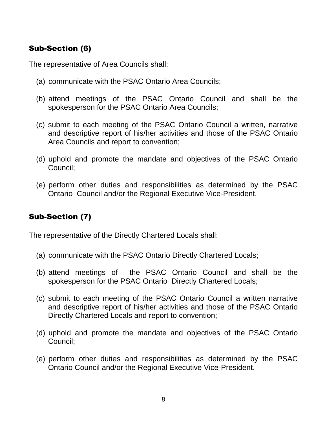## Sub-Section (6)

The representative of Area Councils shall:

- (a) communicate with the PSAC Ontario Area Councils;
- (b) attend meetings of the PSAC Ontario Council and shall be the spokesperson for the PSAC Ontario Area Councils;
- (c) submit to each meeting of the PSAC Ontario Council a written, narrative and descriptive report of his/her activities and those of the PSAC Ontario Area Councils and report to convention;
- (d) uphold and promote the mandate and objectives of the PSAC Ontario Council;
- (e) perform other duties and responsibilities as determined by the PSAC Ontario Council and/or the Regional Executive Vice-President.

## Sub-Section (7)

The representative of the Directly Chartered Locals shall:

- (a) communicate with the PSAC Ontario Directly Chartered Locals;
- (b) attend meetings of the PSAC Ontario Council and shall be the spokesperson for the PSAC Ontario Directly Chartered Locals;
- (c) submit to each meeting of the PSAC Ontario Council a written narrative and descriptive report of his/her activities and those of the PSAC Ontario Directly Chartered Locals and report to convention;
- (d) uphold and promote the mandate and objectives of the PSAC Ontario Council;
- (e) perform other duties and responsibilities as determined by the PSAC Ontario Council and/or the Regional Executive Vice-President.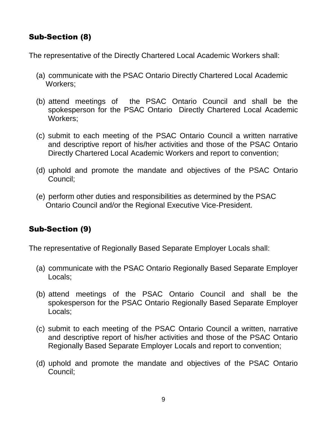## Sub-Section (8)

The representative of the Directly Chartered Local Academic Workers shall:

- (a) communicate with the PSAC Ontario Directly Chartered Local Academic Workers;
- (b) attend meetings of the PSAC Ontario Council and shall be the spokesperson for the PSAC Ontario Directly Chartered Local Academic Workers;
- (c) submit to each meeting of the PSAC Ontario Council a written narrative and descriptive report of his/her activities and those of the PSAC Ontario Directly Chartered Local Academic Workers and report to convention;
- (d) uphold and promote the mandate and objectives of the PSAC Ontario Council;
- (e) perform other duties and responsibilities as determined by the PSAC Ontario Council and/or the Regional Executive Vice-President.

## Sub-Section (9)

The representative of Regionally Based Separate Employer Locals shall:

- (a) communicate with the PSAC Ontario Regionally Based Separate Employer Locals;
- (b) attend meetings of the PSAC Ontario Council and shall be the spokesperson for the PSAC Ontario Regionally Based Separate Employer Locals;
- (c) submit to each meeting of the PSAC Ontario Council a written, narrative and descriptive report of his/her activities and those of the PSAC Ontario Regionally Based Separate Employer Locals and report to convention;
- (d) uphold and promote the mandate and objectives of the PSAC Ontario Council;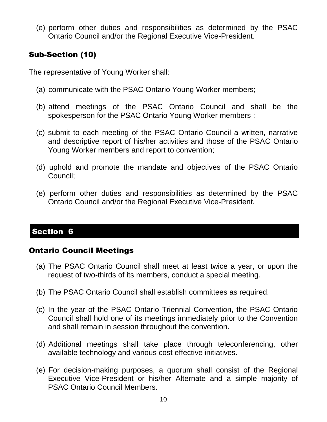(e) perform other duties and responsibilities as determined by the PSAC Ontario Council and/or the Regional Executive Vice-President.

## Sub-Section (10)

The representative of Young Worker shall:

- (a) communicate with the PSAC Ontario Young Worker members;
- (b) attend meetings of the PSAC Ontario Council and shall be the spokesperson for the PSAC Ontario Young Worker members ;
- (c) submit to each meeting of the PSAC Ontario Council a written, narrative and descriptive report of his/her activities and those of the PSAC Ontario Young Worker members and report to convention;
- (d) uphold and promote the mandate and objectives of the PSAC Ontario Council;
- (e) perform other duties and responsibilities as determined by the PSAC Ontario Council and/or the Regional Executive Vice-President.

## Section 6

#### Ontario Council Meetings

- (a) The PSAC Ontario Council shall meet at least twice a year, or upon the request of two-thirds of its members, conduct a special meeting.
- (b) The PSAC Ontario Council shall establish committees as required.
- (c) In the year of the PSAC Ontario Triennial Convention, the PSAC Ontario Council shall hold one of its meetings immediately prior to the Convention and shall remain in session throughout the convention.
- (d) Additional meetings shall take place through teleconferencing, other available technology and various cost effective initiatives.
- (e) For decision-making purposes, a quorum shall consist of the Regional Executive Vice-President or his/her Alternate and a simple majority of PSAC Ontario Council Members.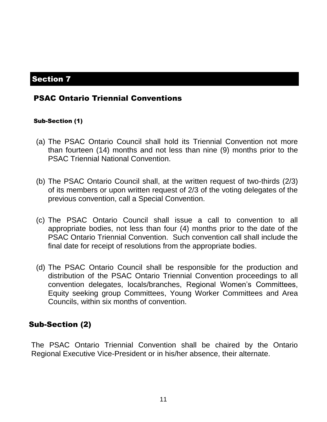#### PSAC Ontario Triennial Conventions

#### Sub-Section (1)

- (a) The PSAC Ontario Council shall hold its Triennial Convention not more than fourteen (14) months and not less than nine (9) months prior to the PSAC Triennial National Convention.
- (b) The PSAC Ontario Council shall, at the written request of two-thirds (2/3) of its members or upon written request of 2/3 of the voting delegates of the previous convention, call a Special Convention.
- (c) The PSAC Ontario Council shall issue a call to convention to all appropriate bodies, not less than four (4) months prior to the date of the PSAC Ontario Triennial Convention. Such convention call shall include the final date for receipt of resolutions from the appropriate bodies.
- (d) The PSAC Ontario Council shall be responsible for the production and distribution of the PSAC Ontario Triennial Convention proceedings to all convention delegates, locals/branches, Regional Women's Committees, Equity seeking group Committees, Young Worker Committees and Area Councils, within six months of convention.

#### Sub-Section (2)

The PSAC Ontario Triennial Convention shall be chaired by the Ontario Regional Executive Vice-President or in his/her absence, their alternate.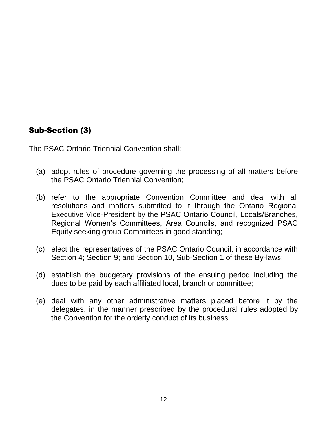## Sub-Section (3)

The PSAC Ontario Triennial Convention shall:

- (a) adopt rules of procedure governing the processing of all matters before the PSAC Ontario Triennial Convention;
- (b) refer to the appropriate Convention Committee and deal with all resolutions and matters submitted to it through the Ontario Regional Executive Vice-President by the PSAC Ontario Council, Locals/Branches, Regional Women's Committees, Area Councils, and recognized PSAC Equity seeking group Committees in good standing;
- (c) elect the representatives of the PSAC Ontario Council, in accordance with Section 4; Section 9; and Section 10, Sub-Section 1 of these By-laws;
- (d) establish the budgetary provisions of the ensuing period including the dues to be paid by each affiliated local, branch or committee;
- (e) deal with any other administrative matters placed before it by the delegates, in the manner prescribed by the procedural rules adopted by the Convention for the orderly conduct of its business.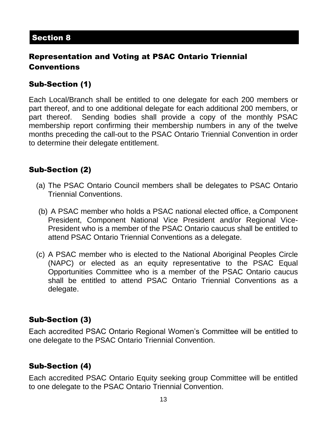## Representation and Voting at PSAC Ontario Triennial Conventions

## Sub-Section (1)

Each Local/Branch shall be entitled to one delegate for each 200 members or part thereof, and to one additional delegate for each additional 200 members, or part thereof. Sending bodies shall provide a copy of the monthly PSAC membership report confirming their membership numbers in any of the twelve months preceding the call-out to the PSAC Ontario Triennial Convention in order to determine their delegate entitlement.

## Sub-Section (2)

- (a) The PSAC Ontario Council members shall be delegates to PSAC Ontario Triennial Conventions.
- (b) A PSAC member who holds a PSAC national elected office, a Component President, Component National Vice President and/or Regional Vice-President who is a member of the PSAC Ontario caucus shall be entitled to attend PSAC Ontario Triennial Conventions as a delegate.
- (c) A PSAC member who is elected to the National Aboriginal Peoples Circle (NAPC) or elected as an equity representative to the PSAC Equal Opportunities Committee who is a member of the PSAC Ontario caucus shall be entitled to attend PSAC Ontario Triennial Conventions as a delegate.

#### Sub-Section (3)

Each accredited PSAC Ontario Regional Women's Committee will be entitled to one delegate to the PSAC Ontario Triennial Convention.

#### Sub-Section (4)

Each accredited PSAC Ontario Equity seeking group Committee will be entitled to one delegate to the PSAC Ontario Triennial Convention.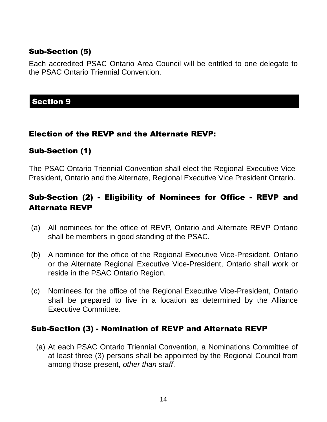## Sub-Section (5)

Each accredited PSAC Ontario Area Council will be entitled to one delegate to the PSAC Ontario Triennial Convention.

#### **Section 9**

#### Election of the REVP and the Alternate REVP:

#### Sub-Section (1)

The PSAC Ontario Triennial Convention shall elect the Regional Executive Vice-President, Ontario and the Alternate, Regional Executive Vice President Ontario.

## Sub-Section (2) - Eligibility of Nominees for Office - REVP and Alternate REVP

- (a) All nominees for the office of REVP, Ontario and Alternate REVP Ontario shall be members in good standing of the PSAC.
- (b) A nominee for the office of the Regional Executive Vice-President, Ontario or the Alternate Regional Executive Vice-President, Ontario shall work or reside in the PSAC Ontario Region.
- (c) Nominees for the office of the Regional Executive Vice-President, Ontario shall be prepared to live in a location as determined by the Alliance Executive Committee.

#### Sub-Section (3) - Nomination of REVP and Alternate REVP

(a) At each PSAC Ontario Triennial Convention, a Nominations Committee of at least three (3) persons shall be appointed by the Regional Council from among those present, *other than staff*.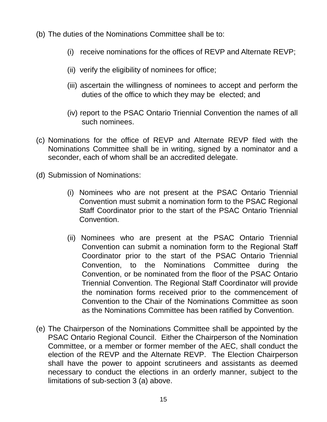- (b) The duties of the Nominations Committee shall be to:
	- (i) receive nominations for the offices of REVP and Alternate REVP;
	- (ii) verify the eligibility of nominees for office;
	- (iii) ascertain the willingness of nominees to accept and perform the duties of the office to which they may be elected; and
	- (iv) report to the PSAC Ontario Triennial Convention the names of all such nominees.
- (c) Nominations for the office of REVP and Alternate REVP filed with the Nominations Committee shall be in writing, signed by a nominator and a seconder, each of whom shall be an accredited delegate.
- (d) Submission of Nominations:
	- (i) Nominees who are not present at the PSAC Ontario Triennial Convention must submit a nomination form to the PSAC Regional Staff Coordinator prior to the start of the PSAC Ontario Triennial Convention.
	- (ii) Nominees who are present at the PSAC Ontario Triennial Convention can submit a nomination form to the Regional Staff Coordinator prior to the start of the PSAC Ontario Triennial Convention, to the Nominations Committee during the Convention, or be nominated from the floor of the PSAC Ontario Triennial Convention. The Regional Staff Coordinator will provide the nomination forms received prior to the commencement of Convention to the Chair of the Nominations Committee as soon as the Nominations Committee has been ratified by Convention.
- (e) The Chairperson of the Nominations Committee shall be appointed by the PSAC Ontario Regional Council. Either the Chairperson of the Nomination Committee, or a member or former member of the AEC, shall conduct the election of the REVP and the Alternate REVP. The Election Chairperson shall have the power to appoint scrutineers and assistants as deemed necessary to conduct the elections in an orderly manner, subject to the limitations of sub-section 3 (a) above.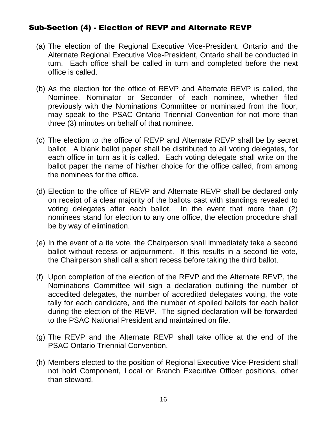## Sub-Section (4) - Election of REVP and Alternate REVP

- (a) The election of the Regional Executive Vice-President, Ontario and the Alternate Regional Executive Vice-President, Ontario shall be conducted in turn. Each office shall be called in turn and completed before the next office is called.
- (b) As the election for the office of REVP and Alternate REVP is called, the Nominee, Nominator or Seconder of each nominee, whether filed previously with the Nominations Committee or nominated from the floor, may speak to the PSAC Ontario Triennial Convention for not more than three (3) minutes on behalf of that nominee.
- (c) The election to the office of REVP and Alternate REVP shall be by secret ballot. A blank ballot paper shall be distributed to all voting delegates, for each office in turn as it is called. Each voting delegate shall write on the ballot paper the name of his/her choice for the office called, from among the nominees for the office.
- (d) Election to the office of REVP and Alternate REVP shall be declared only on receipt of a clear majority of the ballots cast with standings revealed to voting delegates after each ballot. In the event that more than (2) nominees stand for election to any one office, the election procedure shall be by way of elimination.
- (e) In the event of a tie vote, the Chairperson shall immediately take a second ballot without recess or adjournment. If this results in a second tie vote, the Chairperson shall call a short recess before taking the third ballot.
- (f) Upon completion of the election of the REVP and the Alternate REVP, the Nominations Committee will sign a declaration outlining the number of accedited delegates, the number of accredited delegates voting, the vote tally for each candidate, and the number of spoiled ballots for each ballot during the election of the REVP. The signed declaration will be forwarded to the PSAC National President and maintained on file.
- (g) The REVP and the Alternate REVP shall take office at the end of the PSAC Ontario Triennial Convention.
- (h) Members elected to the position of Regional Executive Vice-President shall not hold Component, Local or Branch Executive Officer positions, other than steward.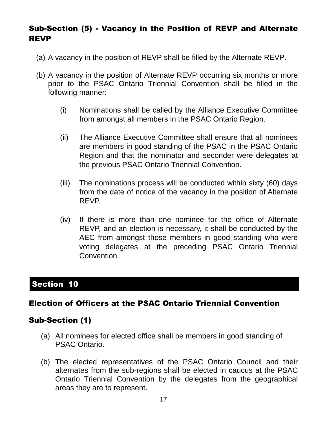## Sub-Section (5) - Vacancy in the Position of REVP and Alternate REVP

- (a) A vacancy in the position of REVP shall be filled by the Alternate REVP.
- (b) A vacancy in the position of Alternate REVP occurring six months or more prior to the PSAC Ontario Triennial Convention shall be filled in the following manner:
	- (i) Nominations shall be called by the Alliance Executive Committee from amongst all members in the PSAC Ontario Region.
	- (ii) The Alliance Executive Committee shall ensure that all nominees are members in good standing of the PSAC in the PSAC Ontario Region and that the nominator and seconder were delegates at the previous PSAC Ontario Triennial Convention.
	- (iii) The nominations process will be conducted within sixty (60) days from the date of notice of the vacancy in the position of Alternate REVP.
	- (iv) If there is more than one nominee for the office of Alternate REVP, and an election is necessary, it shall be conducted by the AEC from amongst those members in good standing who were voting delegates at the preceding PSAC Ontario Triennial Convention.

## Section 10

#### Election of Officers at the PSAC Ontario Triennial Convention

#### Sub-Section (1)

- (a) All nominees for elected office shall be members in good standing of PSAC Ontario.
- (b) The elected representatives of the PSAC Ontario Council and their alternates from the sub-regions shall be elected in caucus at the PSAC Ontario Triennial Convention by the delegates from the geographical areas they are to represent.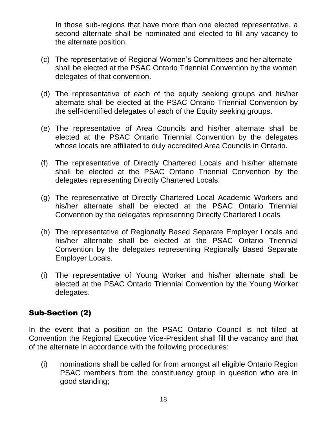In those sub-regions that have more than one elected representative, a second alternate shall be nominated and elected to fill any vacancy to the alternate position.

- (c) The representative of Regional Women's Committees and her alternate shall be elected at the PSAC Ontario Triennial Convention by the women delegates of that convention.
- (d) The representative of each of the equity seeking groups and his/her alternate shall be elected at the PSAC Ontario Triennial Convention by the self-identified delegates of each of the Equity seeking groups.
- (e) The representative of Area Councils and his/her alternate shall be elected at the PSAC Ontario Triennial Convention by the delegates whose locals are affiliated to duly accredited Area Councils in Ontario.
- (f) The representative of Directly Chartered Locals and his/her alternate shall be elected at the PSAC Ontario Triennial Convention by the delegates representing Directly Chartered Locals.
- (g) The representative of Directly Chartered Local Academic Workers and his/her alternate shall be elected at the PSAC Ontario Triennial Convention by the delegates representing Directly Chartered Locals
- (h) The representative of Regionally Based Separate Employer Locals and his/her alternate shall be elected at the PSAC Ontario Triennial Convention by the delegates representing Regionally Based Separate Employer Locals.
- (i) The representative of Young Worker and his/her alternate shall be elected at the PSAC Ontario Triennial Convention by the Young Worker delegates.

#### Sub-Section (2)

In the event that a position on the PSAC Ontario Council is not filled at Convention the Regional Executive Vice-President shall fill the vacancy and that of the alternate in accordance with the following procedures:

(i) nominations shall be called for from amongst all eligible Ontario Region PSAC members from the constituency group in question who are in good standing;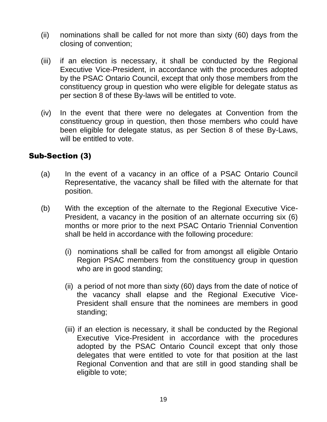- (ii) nominations shall be called for not more than sixty (60) days from the closing of convention;
- (iii) if an election is necessary, it shall be conducted by the Regional Executive Vice-President, in accordance with the procedures adopted by the PSAC Ontario Council, except that only those members from the constituency group in question who were eligible for delegate status as per section 8 of these By-laws will be entitled to vote.
- (iv) In the event that there were no delegates at Convention from the constituency group in question, then those members who could have been eligible for delegate status, as per Section 8 of these By-Laws, will be entitled to vote.

## Sub-Section (3)

- (a) In the event of a vacancy in an office of a PSAC Ontario Council Representative, the vacancy shall be filled with the alternate for that position.
- (b) With the exception of the alternate to the Regional Executive Vice-President, a vacancy in the position of an alternate occurring six (6) months or more prior to the next PSAC Ontario Triennial Convention shall be held in accordance with the following procedure:
	- (i) nominations shall be called for from amongst all eligible Ontario Region PSAC members from the constituency group in question who are in good standing;
	- (ii) a period of not more than sixty (60) days from the date of notice of the vacancy shall elapse and the Regional Executive Vice-President shall ensure that the nominees are members in good standing;
	- (iii) if an election is necessary, it shall be conducted by the Regional Executive Vice-President in accordance with the procedures adopted by the PSAC Ontario Council except that only those delegates that were entitled to vote for that position at the last Regional Convention and that are still in good standing shall be eligible to vote;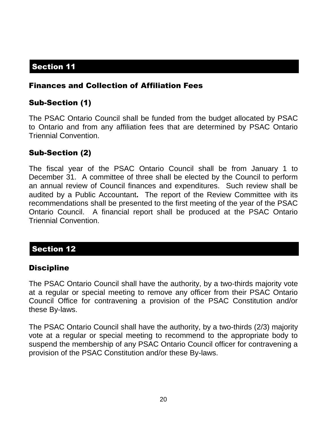## Finances and Collection of Affiliation Fees

## Sub-Section (1)

The PSAC Ontario Council shall be funded from the budget allocated by PSAC to Ontario and from any affiliation fees that are determined by PSAC Ontario Triennial Convention.

#### Sub-Section (2)

The fiscal year of the PSAC Ontario Council shall be from January 1 to December 31. A committee of three shall be elected by the Council to perform an annual review of Council finances and expenditures. Such review shall be audited by a Public Accountant**.** The report of the Review Committee with its recommendations shall be presented to the first meeting of the year of the PSAC Ontario Council. A financial report shall be produced at the PSAC Ontario Triennial Convention.

#### Section 12

#### **Discipline**

The PSAC Ontario Council shall have the authority, by a two-thirds majority vote at a regular or special meeting to remove any officer from their PSAC Ontario Council Office for contravening a provision of the PSAC Constitution and/or these By-laws.

The PSAC Ontario Council shall have the authority, by a two-thirds (2/3) majority vote at a regular or special meeting to recommend to the appropriate body to suspend the membership of any PSAC Ontario Council officer for contravening a provision of the PSAC Constitution and/or these By-laws.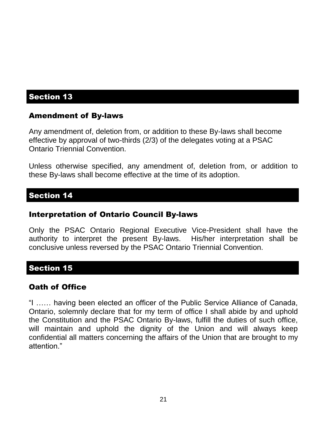#### Amendment of By-laws

Any amendment of, deletion from, or addition to these By-laws shall become effective by approval of two-thirds (2/3) of the delegates voting at a PSAC Ontario Triennial Convention.

Unless otherwise specified, any amendment of, deletion from, or addition to these By-laws shall become effective at the time of its adoption.

#### Section 14

#### Interpretation of Ontario Council By-laws

Only the PSAC Ontario Regional Executive Vice-President shall have the authority to interpret the present By-laws. His/her interpretation shall be conclusive unless reversed by the PSAC Ontario Triennial Convention.

#### Section 15

#### Oath of Office

"I …… having been elected an officer of the Public Service Alliance of Canada, Ontario, solemnly declare that for my term of office I shall abide by and uphold the Constitution and the PSAC Ontario By-laws, fulfill the duties of such office, will maintain and uphold the dignity of the Union and will always keep confidential all matters concerning the affairs of the Union that are brought to my attention."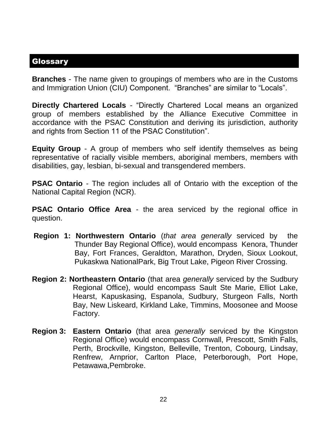#### **Glossary**

**Branches** - The name given to groupings of members who are in the Customs and Immigration Union (CIU) Component. "Branches" are similar to "Locals".

**Directly Chartered Locals** - "Directly Chartered Local means an organized group of members established by the Alliance Executive Committee in accordance with the PSAC Constitution and deriving its jurisdiction, authority and rights from Section 11 of the PSAC Constitution".

**Equity Group** - A group of members who self identify themselves as being representative of racially visible members, aboriginal members, members with disabilities, gay, lesbian, bi-sexual and transgendered members.

**PSAC Ontario** - The region includes all of Ontario with the exception of the National Capital Region (NCR).

**PSAC Ontario Office Area** - the area serviced by the regional office in question.

- **Region 1: Northwestern Ontario** (*that area generally* serviced by the Thunder Bay Regional Office), would encompass Kenora, Thunder Bay, Fort Frances, Geraldton, Marathon, Dryden, Sioux Lookout, Pukaskwa NationalPark, Big Trout Lake, Pigeon River Crossing.
- **Region 2: Northeastern Ontario** (that area *generally* serviced by the Sudbury Regional Office), would encompass Sault Ste Marie, Elliot Lake, Hearst, Kapuskasing, Espanola, Sudbury, Sturgeon Falls, North Bay, New Liskeard, Kirkland Lake, Timmins, Moosonee and Moose Factory.
- **Region 3: Eastern Ontario** (that area *generally* serviced by the Kingston Regional Office) would encompass Cornwall, Prescott, Smith Falls, Perth, Brockville, Kingston, Belleville, Trenton, Cobourg, Lindsay, Renfrew, Arnprior, Carlton Place, Peterborough, Port Hope, Petawawa,Pembroke.